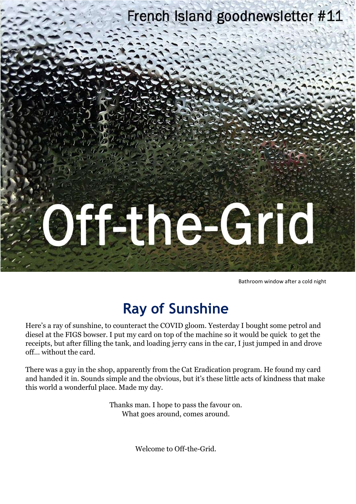

Bathroom window after a cold night

#### **Ray of Sunshine**

Here's a ray of sunshine, to counteract the COVID gloom. Yesterday I bought some petrol and diesel at the FIGS bowser. I put my card on top of the machine so it would be quick to get the receipts, but after filling the tank, and loading jerry cans in the car, I just jumped in and drove off… without the card.

There was a guy in the shop, apparently from the Cat Eradication program. He found my card and handed it in. Sounds simple and the obvious, but it's these little acts of kindness that make this world a wonderful place. Made my day.

> Thanks man. I hope to pass the favour on. What goes around, comes around.

> > Welcome to Off-the-Grid.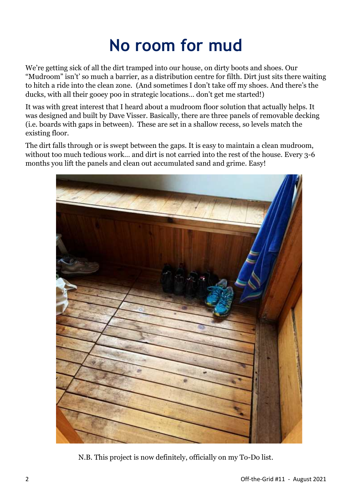## **No room for mud**

We're getting sick of all the dirt tramped into our house, on dirty boots and shoes. Our "Mudroom" isn't' so much a barrier, as a distribution centre for filth. Dirt just sits there waiting to hitch a ride into the clean zone. (And sometimes I don't take off my shoes. And there's the ducks, with all their gooey poo in strategic locations… don't get me started!)

It was with great interest that I heard about a mudroom floor solution that actually helps. It was designed and built by Dave Visser. Basically, there are three panels of removable decking (i.e. boards with gaps in between). These are set in a shallow recess, so levels match the existing floor.

The dirt falls through or is swept between the gaps. It is easy to maintain a clean mudroom, without too much tedious work… and dirt is not carried into the rest of the house. Every 3-6 months you lift the panels and clean out accumulated sand and grime. Easy!



N.B. This project is now definitely, officially on my To-Do list.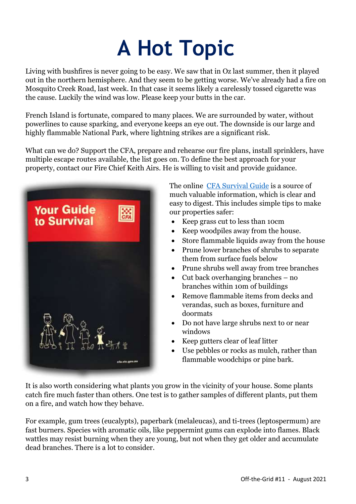# **A Hot Topic**

Living with bushfires is never going to be easy. We saw that in Oz last summer, then it played out in the northern hemisphere. And they seem to be getting worse. We've already had a fire on Mosquito Creek Road, last week. In that case it seems likely a carelessly tossed cigarette was the cause. Luckily the wind was low. Please keep your butts in the car.

French Island is fortunate, compared to many places. We are surrounded by water, without powerlines to cause sparking, and everyone keeps an eye out. The downside is our large and highly flammable National Park, where lightning strikes are a significant risk.

What can we do? Support the CFA, prepare and rehearse our fire plans, install sprinklers, have multiple escape routes available, the list goes on. To define the best approach for your property, contact our Fire Chief Keith Airs. He is willing to visit and provide guidance.



The online CFA [Survival Guide](https://www.cfa.vic.gov.au/ArticleDocuments/335/Your%20Guide%20to%20Survival%20V5.pdf.aspx?Embed=Y) is a source of much valuable information, which is clear and easy to digest. This includes simple tips to make our properties safer:

- Keep grass cut to less than 10cm
- Keep woodpiles away from the house.
- Store flammable liquids away from the house
- Prune lower branches of shrubs to separate them from surface fuels below
- Prune shrubs well away from tree branches
- Cut back overhanging branches no branches within 10m of buildings
- Remove flammable items from decks and verandas, such as boxes, furniture and doormats
- Do not have large shrubs next to or near windows
- Keep gutters clear of leaf litter
- Use pebbles or rocks as mulch, rather than flammable woodchips or pine bark.

It is also worth considering what plants you grow in the vicinity of your house. Some plants catch fire much faster than others. One test is to gather samples of different plants, put them on a fire, and watch how they behave.

For example, gum trees (eucalypts), paperbark (melaleucas), and ti-trees (leptospermum) are fast burners. Species with aromatic oils, like peppermint gums can explode into flames. Black wattles may resist burning when they are young, but not when they get older and accumulate dead branches. There is a lot to consider.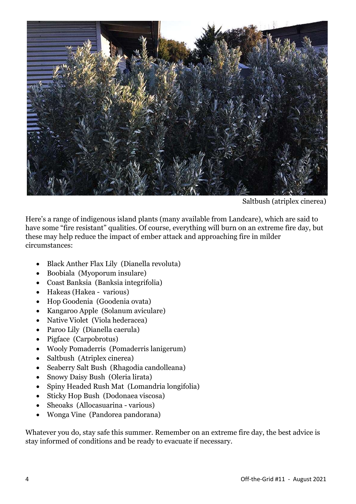

Saltbush (atriplex cinerea)

Here's a range of indigenous island plants (many available from Landcare), which are said to have some "fire resistant" qualities. Of course, everything will burn on an extreme fire day, but these may help reduce the impact of ember attack and approaching fire in milder circumstances:

- Black Anther Flax Lily (Dianella revoluta)
- Boobiala (Myoporum insulare)
- Coast Banksia (Banksia integrifolia)
- Hakeas (Hakea various)
- Hop Goodenia (Goodenia ovata)
- Kangaroo Apple (Solanum aviculare)
- Native Violet (Viola hederacea)
- Paroo Lily (Dianella caerula)
- Pigface (Carpobrotus)
- Wooly Pomaderris (Pomaderris lanigerum)
- Saltbush (Atriplex cinerea)
- Seaberry Salt Bush (Rhagodia candolleana)
- Snowy Daisy Bush (Oleria lirata)
- Spiny Headed Rush Mat (Lomandria longifolia)
- Sticky Hop Bush (Dodonaea viscosa)
- Sheoaks (Allocasuarina various)
- Wonga Vine (Pandorea pandorana)

Whatever you do, stay safe this summer. Remember on an extreme fire day, the best advice is stay informed of conditions and be ready to evacuate if necessary.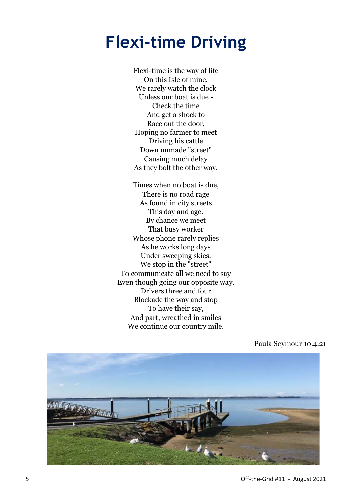#### **Flexi-time Driving**

Flexi-time is the way of life On this Isle of mine. We rarely watch the clock Unless our boat is due - Check the time And get a shock to Race out the door, Hoping no farmer to meet Driving his cattle Down unmade "street" Causing much delay As they bolt the other way.

Times when no boat is due, There is no road rage As found in city streets This day and age. By chance we meet That busy worker Whose phone rarely replies As he works long days Under sweeping skies. We stop in the "street" To communicate all we need to say Even though going our opposite way. Drivers three and four Blockade the way and stop To have their say, And part, wreathed in smiles We continue our country mile.



Paula Seymour 10.4.21